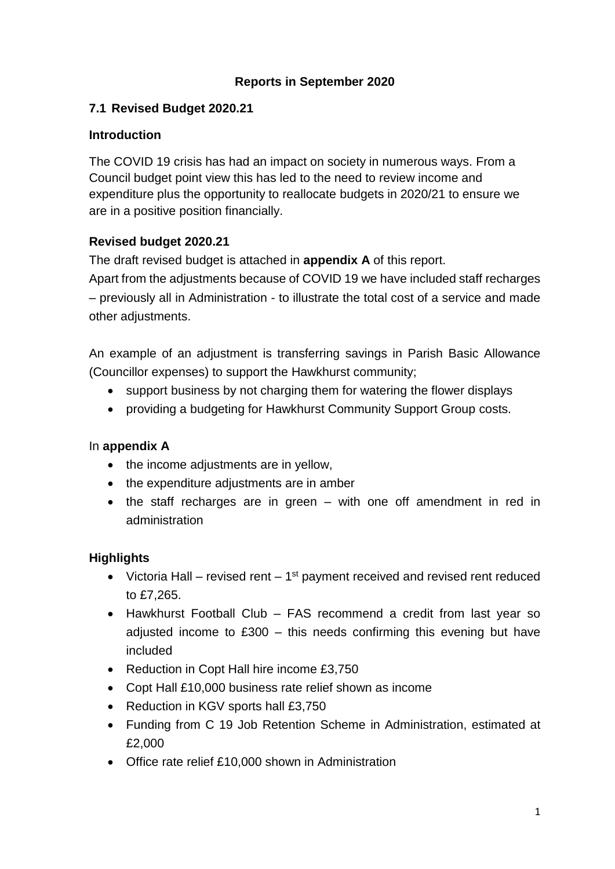## **Reports in September 2020**

## **7.1 Revised Budget 2020.21**

#### **Introduction**

The COVID 19 crisis has had an impact on society in numerous ways. From a Council budget point view this has led to the need to review income and expenditure plus the opportunity to reallocate budgets in 2020/21 to ensure we are in a positive position financially.

## **Revised budget 2020.21**

The draft revised budget is attached in **appendix A** of this report.

Apart from the adjustments because of COVID 19 we have included staff recharges – previously all in Administration - to illustrate the total cost of a service and made other adjustments.

An example of an adjustment is transferring savings in Parish Basic Allowance (Councillor expenses) to support the Hawkhurst community;

- support business by not charging them for watering the flower displays
- providing a budgeting for Hawkhurst Community Support Group costs.

#### In **appendix A**

- the income adjustments are in yellow,
- the expenditure adjustments are in amber
- the staff recharges are in green with one off amendment in red in administration

#### **Highlights**

- Victoria Hall revised rent  $1<sup>st</sup>$  payment received and revised rent reduced to £7,265.
- Hawkhurst Football Club FAS recommend a credit from last year so adjusted income to £300 – this needs confirming this evening but have included
- Reduction in Copt Hall hire income £3,750
- Copt Hall £10,000 business rate relief shown as income
- Reduction in KGV sports hall £3,750
- Funding from C 19 Job Retention Scheme in Administration, estimated at £2,000
- Office rate relief £10,000 shown in Administration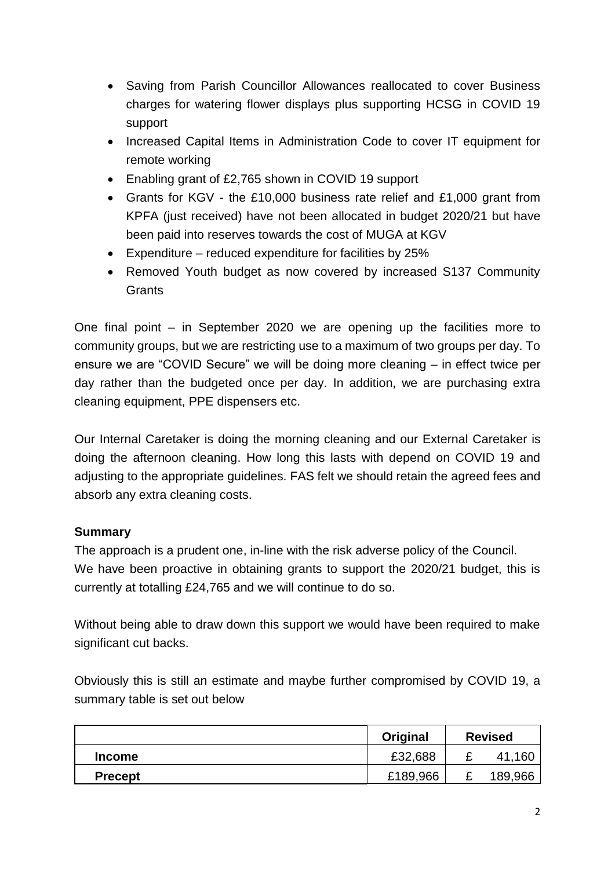- Saving from Parish Councillor Allowances reallocated to cover Business charges for watering flower displays plus supporting HCSG in COVID 19 support
- Increased Capital Items in Administration Code to cover IT equipment for remote working
- Enabling grant of £2,765 shown in COVID 19 support
- Grants for KGV the £10,000 business rate relief and £1,000 grant from KPFA (just received) have not been allocated in budget 2020/21 but have been paid into reserves towards the cost of MUGA at KGV
- Expenditure reduced expenditure for facilities by 25%
- Removed Youth budget as now covered by increased S137 Community **Grants**

One final point – in September 2020 we are opening up the facilities more to community groups, but we are restricting use to a maximum of two groups per day. To ensure we are "COVID Secure" we will be doing more cleaning – in effect twice per day rather than the budgeted once per day. In addition, we are purchasing extra cleaning equipment, PPE dispensers etc.

Our Internal Caretaker is doing the morning cleaning and our External Caretaker is doing the afternoon cleaning. How long this lasts with depend on COVID 19 and adjusting to the appropriate guidelines. FAS felt we should retain the agreed fees and absorb any extra cleaning costs.

# **Summary**

The approach is a prudent one, in-line with the risk adverse policy of the Council. We have been proactive in obtaining grants to support the 2020/21 budget, this is currently at totalling £24,765 and we will continue to do so.

Without being able to draw down this support we would have been required to make significant cut backs.

Obviously this is still an estimate and maybe further compromised by COVID 19, a summary table is set out below

|                | Original | <b>Revised</b> |         |
|----------------|----------|----------------|---------|
| <b>Income</b>  | £32,688  | -              | .160    |
| <b>Precept</b> | £189,966 |                | 189,966 |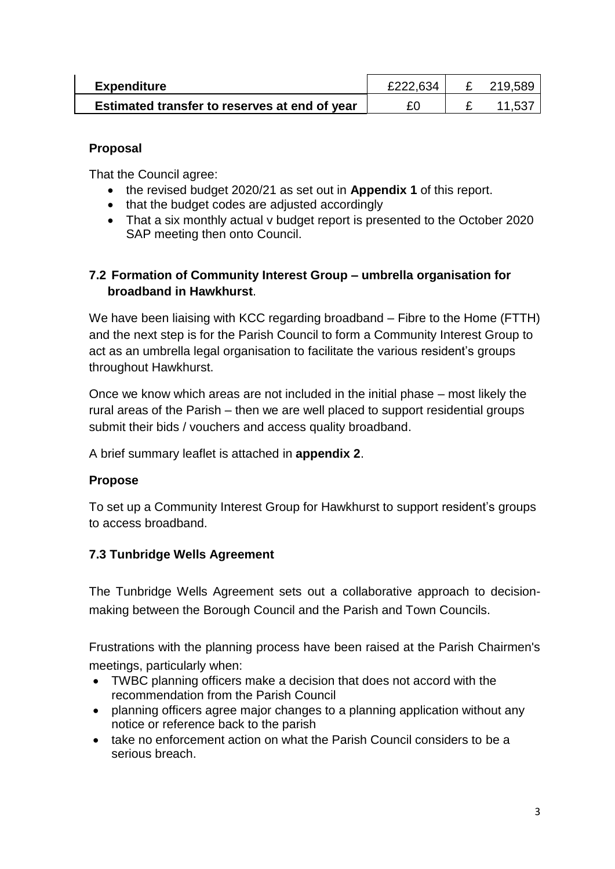| <b>Expenditure</b>                            | £222.634 | 219.589 |
|-----------------------------------------------|----------|---------|
| Estimated transfer to reserves at end of year |          | 11.537  |

### **Proposal**

That the Council agree:

- the revised budget 2020/21 as set out in **Appendix 1** of this report.
- that the budget codes are adjusted accordingly
- That a six monthly actual v budget report is presented to the October 2020 SAP meeting then onto Council.

# **7.2 Formation of Community Interest Group – umbrella organisation for broadband in Hawkhurst**.

We have been liaising with KCC regarding broadband – Fibre to the Home (FTTH) and the next step is for the Parish Council to form a Community Interest Group to act as an umbrella legal organisation to facilitate the various resident's groups throughout Hawkhurst.

Once we know which areas are not included in the initial phase – most likely the rural areas of the Parish – then we are well placed to support residential groups submit their bids / vouchers and access quality broadband.

A brief summary leaflet is attached in **appendix 2**.

#### **Propose**

To set up a Community Interest Group for Hawkhurst to support resident's groups to access broadband.

# **7.3 Tunbridge Wells Agreement**

The Tunbridge Wells Agreement sets out a collaborative approach to decisionmaking between the Borough Council and the Parish and Town Councils.

Frustrations with the planning process have been raised at the Parish Chairmen's meetings, particularly when:

- TWBC planning officers make a decision that does not accord with the recommendation from the Parish Council
- planning officers agree major changes to a planning application without any notice or reference back to the parish
- take no enforcement action on what the Parish Council considers to be a serious breach.